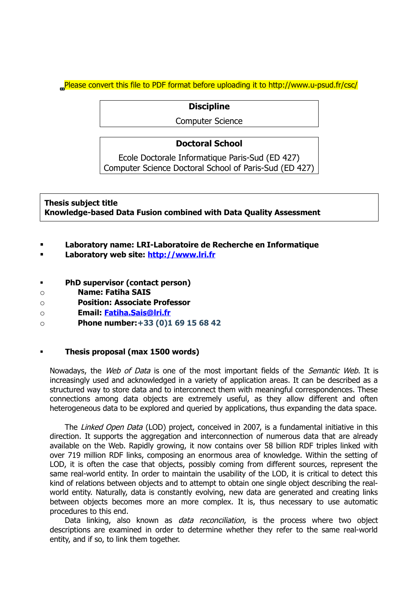Please convert this file to PDF format before uploading it to http://www.u-psud.fr/csc/

### **Discipline**

Computer Science

# **Doctoral School**

Ecole Doctorale Informatique Paris-Sud (ED 427) Computer Science Doctoral School of Paris-Sud (ED 427)

**Thesis subject title Knowledge-based Data Fusion combined with Data Quality Assessment** 

- **Laboratory name: LRI-Laboratoire de Recherche en Informatique**
- **Laboratory web site: [http://www.lri.fr](http://www.lri.fr/)**
- **PhD supervisor (contact person)**
- o **Name: Fatiha SAIS**
- o **Position: Associate Professor**
- o **Email: [Fatiha.Sais@lri.fr](mailto:Fatiha.Sais@lri.fr)**
- o **Phone number:+33 (0)1 69 15 68 42**

#### **Thesis proposal (max 1500 words)**

Nowadays, the Web of Data is one of the most important fields of the Semantic Web. It is increasingly used and acknowledged in a variety of application areas. It can be described as a structured way to store data and to interconnect them with meaningful correspondences. These connections among data objects are extremely useful, as they allow different and often heterogeneous data to be explored and queried by applications, thus expanding the data space.

The Linked Open Data (LOD) project, conceived in 2007, is a fundamental initiative in this direction. It supports the aggregation and interconnection of numerous data that are already available on the Web. Rapidly growing, it now contains over 58 billion RDF triples linked with over 719 million RDF links, composing an enormous area of knowledge. Within the setting of LOD, it is often the case that objects, possibly coming from different sources, represent the same real-world entity. In order to maintain the usability of the LOD, it is critical to detect this kind of relations between objects and to attempt to obtain one single object describing the realworld entity. Naturally, data is constantly evolving, new data are generated and creating links between objects becomes more an more complex. It is, thus necessary to use automatic procedures to this end.

Data linking, also known as *data reconciliation*, is the process where two object descriptions are examined in order to determine whether they refer to the same real-world entity, and if so, to link them together.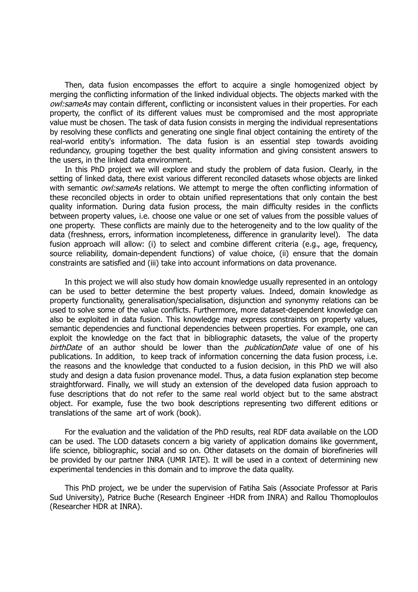Then, data fusion encompasses the effort to acquire a single homogenized object by merging the conflicting information of the linked individual objects. The objects marked with the owl: sameAs may contain different, conflicting or inconsistent values in their properties. For each property, the conflict of its different values must be compromised and the most appropriate value must be chosen. The task of data fusion consists in merging the individual representations by resolving these conflicts and generating one single final object containing the entirety of the real-world entity's information. The data fusion is an essential step towards avoiding redundancy, grouping together the best quality information and giving consistent answers to the users, in the linked data environment.

In this PhD project we will explore and study the problem of data fusion. Clearly, in the setting of linked data, there exist various different reconciled datasets whose objects are linked with semantic *owl:sameAs* relations. We attempt to merge the often conflicting information of these reconciled objects in order to obtain unified representations that only contain the best quality information. During data fusion process, the main difficulty resides in the conflicts between property values, i.e. choose one value or one set of values from the possible values of one property. These conflicts are mainly due to the heterogeneity and to the low quality of the data (freshness, errors, information incompleteness, difference in granularity level). The data fusion approach will allow: (i) to select and combine different criteria (e.g., age, frequency, source reliability, domain-dependent functions) of value choice, (ii) ensure that the domain constraints are satisfied and (iii) take into account informations on data provenance.

In this project we will also study how domain knowledge usually represented in an ontology can be used to better determine the best property values. Indeed, domain knowledge as property functionality, generalisation/specialisation, disjunction and synonymy relations can be used to solve some of the value conflicts. Furthermore, more dataset-dependent knowledge can also be exploited in data fusion. This knowledge may express constraints on property values, semantic dependencies and functional dependencies between properties. For example, one can exploit the knowledge on the fact that in bibliographic datasets, the value of the property birthDate of an author should be lower than the *publicationDate* value of one of his publications. In addition, to keep track of information concerning the data fusion process, i.e. the reasons and the knowledge that conducted to a fusion decision, in this PhD we will also study and design a data fusion provenance model. Thus, a data fusion explanation step become straightforward. Finally, we will study an extension of the developed data fusion approach to fuse descriptions that do not refer to the same real world object but to the same abstract object. For example, fuse the two book descriptions representing two different editions or translations of the same art of work (book).

For the evaluation and the validation of the PhD results, real RDF data available on the LOD can be used. The LOD datasets concern a big variety of application domains like government, life science, bibliographic, social and so on. Other datasets on the domain of biorefineries will be provided by our partner INRA (UMR IATE). It will be used in a context of determining new experimental tendencies in this domain and to improve the data quality.

This PhD project, we be under the supervision of Fatiha Saïs (Associate Professor at Paris Sud University), Patrice Buche (Research Engineer -HDR from INRA) and Rallou Thomoploulos (Researcher HDR at INRA).